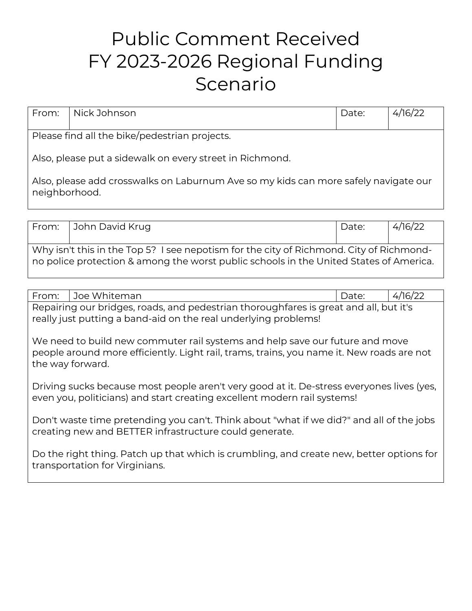## Public Comment Received FY 2023-2026 Regional Funding Scenario

| From:                                                    | Nick Johnson                                                                        | Date: | 4/16/22 |  |
|----------------------------------------------------------|-------------------------------------------------------------------------------------|-------|---------|--|
| Please find all the bike/pedestrian projects.            |                                                                                     |       |         |  |
| Also, please put a sidewalk on every street in Richmond. |                                                                                     |       |         |  |
| neighborhood.                                            | Also, please add crosswalks on Laburnum Ave so my kids can more safely navigate our |       |         |  |

| From:                                                                                   | John David Krug                                                                        | Date: | $\frac{4}{16}$ |  |
|-----------------------------------------------------------------------------------------|----------------------------------------------------------------------------------------|-------|----------------|--|
|                                                                                         |                                                                                        |       |                |  |
| Why isn't this in the Top 5? I see nepotism for the city of Richmond. City of Richmond- |                                                                                        |       |                |  |
|                                                                                         | no police protection & among the worst public schools in the United States of America. |       |                |  |

| Joe Whiteman<br>From:                                                                                                                                                                         | 4/16/22<br>Date: |  |  |
|-----------------------------------------------------------------------------------------------------------------------------------------------------------------------------------------------|------------------|--|--|
| Repairing our bridges, roads, and pedestrian thoroughfares is great and all, but it's<br>really just putting a band-aid on the real underlying problems!                                      |                  |  |  |
| We need to build new commuter rail systems and help save our future and move<br>people around more efficiently. Light rail, trams, trains, you name it. New roads are not<br>the way forward. |                  |  |  |
| Driving sucks because most people aren't very good at it. De-stress everyones lives (yes,<br>even you, politicians) and start creating excellent modern rail systems!                         |                  |  |  |
| Don't waste time pretending you can't. Think about "what if we did?" and all of the jobs<br>creating new and BETTER infrastructure could generate.                                            |                  |  |  |
| Do the right thing. Patch up that which is crumbling, and create new, better options for<br>transportation for Virginians.                                                                    |                  |  |  |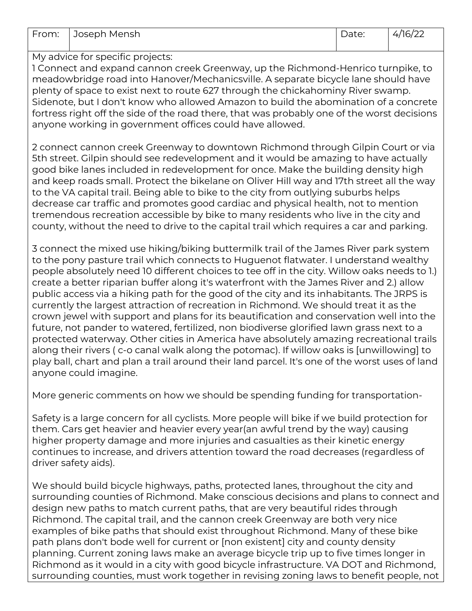| From: | Joseph Mensh                                                                                                                                                                                                                                                                                                                                                                                                                                                                                                                                                                                                                                                                                                                                                                                                                                                                                                                                                                                                                                                               | Date: | 4/16/22 |
|-------|----------------------------------------------------------------------------------------------------------------------------------------------------------------------------------------------------------------------------------------------------------------------------------------------------------------------------------------------------------------------------------------------------------------------------------------------------------------------------------------------------------------------------------------------------------------------------------------------------------------------------------------------------------------------------------------------------------------------------------------------------------------------------------------------------------------------------------------------------------------------------------------------------------------------------------------------------------------------------------------------------------------------------------------------------------------------------|-------|---------|
|       |                                                                                                                                                                                                                                                                                                                                                                                                                                                                                                                                                                                                                                                                                                                                                                                                                                                                                                                                                                                                                                                                            |       |         |
|       | My advice for specific projects:<br>I Connect and expand cannon creek Greenway, up the Richmond-Henrico turnpike, to<br>meadowbridge road into Hanover/Mechanicsville. A separate bicycle lane should have<br>plenty of space to exist next to route 627 through the chickahominy River swamp.<br>Sidenote, but I don't know who allowed Amazon to build the abomination of a concrete<br>fortress right off the side of the road there, that was probably one of the worst decisions<br>anyone working in government offices could have allowed.<br>2 connect cannon creek Greenway to downtown Richmond through Gilpin Court or via<br>5th street. Gilpin should see redevelopment and it would be amazing to have actually<br>good bike lanes included in redevelopment for once. Make the building density high<br>and keep roads small. Protect the bikelane on Oliver Hill way and 17th street all the way<br>to the VA capital trail. Being able to bike to the city from outlying suburbs helps                                                                    |       |         |
|       | decrease car traffic and promotes good cardiac and physical health, not to mention<br>tremendous recreation accessible by bike to many residents who live in the city and<br>county, without the need to drive to the capital trail which requires a car and parking.                                                                                                                                                                                                                                                                                                                                                                                                                                                                                                                                                                                                                                                                                                                                                                                                      |       |         |
|       | 3 connect the mixed use hiking/biking buttermilk trail of the James River park system<br>to the pony pasture trail which connects to Huguenot flatwater. I understand wealthy<br>people absolutely need 10 different choices to tee off in the city. Willow oaks needs to 1.)<br>create a better riparian buffer along it's waterfront with the James River and 2.) allow<br>public access via a hiking path for the good of the city and its inhabitants. The JRPS is<br>currently the largest attraction of recreation in Richmond. We should treat it as the<br>crown jewel with support and plans for its beautification and conservation well into the<br>future, not pander to watered, fertilized, non biodiverse glorified lawn grass next to a<br>protected waterway. Other cities in America have absolutely amazing recreational trails<br>along their rivers (c-o canal walk along the potomac). If willow oaks is [unwillowing] to<br>play ball, chart and plan a trail around their land parcel. It's one of the worst uses of land<br>anyone could imagine. |       |         |
|       | More generic comments on how we should be spending funding for transportation-                                                                                                                                                                                                                                                                                                                                                                                                                                                                                                                                                                                                                                                                                                                                                                                                                                                                                                                                                                                             |       |         |
|       | Safety is a large concern for all cyclists. More people will bike if we build protection for<br>them. Cars get heavier and heavier every year(an awful trend by the way) causing<br>higher property damage and more injuries and casualties as their kinetic energy<br>continues to increase, and drivers attention toward the road decreases (regardless of<br>driver safety aids).                                                                                                                                                                                                                                                                                                                                                                                                                                                                                                                                                                                                                                                                                       |       |         |
|       | We should build bicycle highways, paths, protected lanes, throughout the city and<br>surrounding counties of Richmond. Make conscious decisions and plans to connect and                                                                                                                                                                                                                                                                                                                                                                                                                                                                                                                                                                                                                                                                                                                                                                                                                                                                                                   |       |         |

surrounding counties of Richmond. Make conscious decisions and plans to connect and design new paths to match current paths, that are very beautiful rides through Richmond. The capital trail, and the cannon creek Greenway are both very nice examples of bike paths that should exist throughout Richmond. Many of these bike path plans don't bode well for current or [non existent] city and county density planning. Current zoning laws make an average bicycle trip up to five times longer in Richmond as it would in a city with good bicycle infrastructure. VA DOT and Richmond, surrounding counties, must work together in revising zoning laws to benefit people, not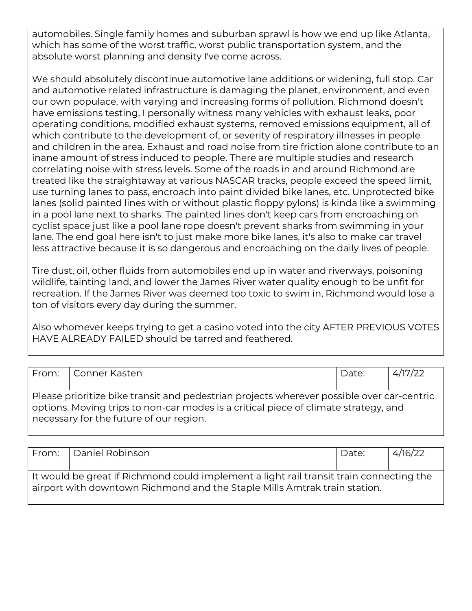automobiles. Single family homes and suburban sprawl is how we end up like Atlanta, which has some of the worst traffic, worst public transportation system, and the absolute worst planning and density I've come across.

We should absolutely discontinue automotive lane additions or widening, full stop. Car and automotive related infrastructure is damaging the planet, environment, and even our own populace, with varying and increasing forms of pollution. Richmond doesn't have emissions testing, I personally witness many vehicles with exhaust leaks, poor operating conditions, modified exhaust systems, removed emissions equipment, all of which contribute to the development of, or severity of respiratory illnesses in people and children in the area. Exhaust and road noise from tire friction alone contribute to an inane amount of stress induced to people. There are multiple studies and research correlating noise with stress levels. Some of the roads in and around Richmond are treated like the straightaway at various NASCAR tracks, people exceed the speed limit, use turning lanes to pass, encroach into paint divided bike lanes, etc. Unprotected bike lanes (solid painted lines with or without plastic floppy pylons) is kinda like a swimming in a pool lane next to sharks. The painted lines don't keep cars from encroaching on cyclist space just like a pool lane rope doesn't prevent sharks from swimming in your lane. The end goal here isn't to just make more bike lanes, it's also to make car travel less attractive because it is so dangerous and encroaching on the daily lives of people.

Tire dust, oil, other fluids from automobiles end up in water and riverways, poisoning wildlife, tainting land, and lower the James River water quality enough to be unfit for recreation. If the James River was deemed too toxic to swim in, Richmond would lose a ton of visitors every day during the summer.

Also whomever keeps trying to get a casino voted into the city AFTER PREVIOUS VOTES HAVE ALREADY FAILED should be tarred and feathered.

| From:   Conner Kasten                                                                                                                                                                                                       | Date: | 4/17/22 |
|-----------------------------------------------------------------------------------------------------------------------------------------------------------------------------------------------------------------------------|-------|---------|
| Please prioritize bike transit and pedestrian projects wherever possible over car-centric<br>options. Moving trips to non-car modes is a critical piece of climate strategy, and<br>necessary for the future of our region. |       |         |

| From: | Daniel Robinson                                                                                                                                                      | Date: | 4/16/22 |
|-------|----------------------------------------------------------------------------------------------------------------------------------------------------------------------|-------|---------|
|       |                                                                                                                                                                      |       |         |
|       | It would be great if Richmond could implement a light rail transit train connecting the<br>airport with downtown Richmond and the Staple Mills Amtrak train station. |       |         |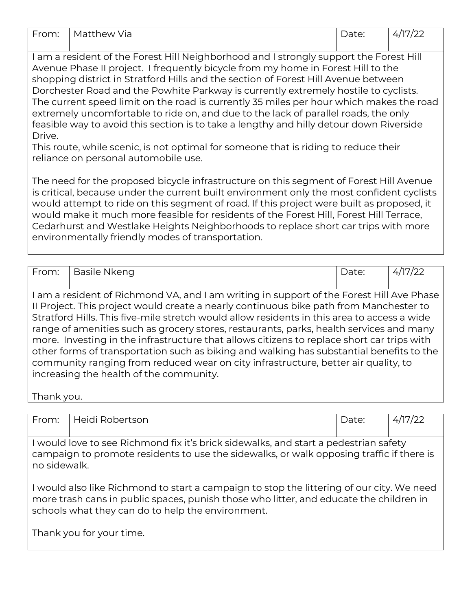| From:                                                                                   | Matthew Via                                                                         | Date: | 4/17/22 |  |  |
|-----------------------------------------------------------------------------------------|-------------------------------------------------------------------------------------|-------|---------|--|--|
|                                                                                         |                                                                                     |       |         |  |  |
| I am a resident of the Forest Hill Neighborhood and I strongly support the Forest Hill  |                                                                                     |       |         |  |  |
|                                                                                         | Avenue Phase II project. I frequently bicycle from my home in Forest Hill to the    |       |         |  |  |
|                                                                                         | shopping district in Stratford Hills and the section of Forest Hill Avenue between  |       |         |  |  |
| Dorchester Road and the Powhite Parkway is currently extremely hostile to cyclists.     |                                                                                     |       |         |  |  |
| The current speed limit on the road is currently 35 miles per hour which makes the road |                                                                                     |       |         |  |  |
| extremely uncomfortable to ride on, and due to the lack of parallel roads, the only     |                                                                                     |       |         |  |  |
| feasible way to avoid this section is to take a lengthy and hilly detour down Riverside |                                                                                     |       |         |  |  |
| Drive.                                                                                  |                                                                                     |       |         |  |  |
|                                                                                         | This route, while scenic, is not optimal for someone that is riding to reduce their |       |         |  |  |

reliance on personal automobile use.

The need for the proposed bicycle infrastructure on this segment of Forest Hill Avenue is critical, because under the current built environment only the most confident cyclists would attempt to ride on this segment of road. If this project were built as proposed, it would make it much more feasible for residents of the Forest Hill, Forest Hill Terrace, Cedarhurst and Westlake Heights Neighborhoods to replace short car trips with more environmentally friendly modes of transportation.

| From:                                                                                      | Basile Nkeng                                                                                | Date: | 4/17/22 |  |
|--------------------------------------------------------------------------------------------|---------------------------------------------------------------------------------------------|-------|---------|--|
|                                                                                            |                                                                                             |       |         |  |
| I am a resident of Richmond VA, and I am writing in support of the Forest Hill Ave Phase   |                                                                                             |       |         |  |
|                                                                                            | Il Project. This project would create a nearly continuous bike path from Manchester to      |       |         |  |
|                                                                                            | Stratford Hills. This five-mile stretch would allow residents in this area to access a wide |       |         |  |
| range of amenities such as grocery stores, restaurants, parks, health services and many    |                                                                                             |       |         |  |
| more. Investing in the infrastructure that allows citizens to replace short car trips with |                                                                                             |       |         |  |
| other forms of transportation such as biking and walking has substantial benefits to the   |                                                                                             |       |         |  |
|                                                                                            | community ranging from reduced wear on city infrastructure, better air quality, to          |       |         |  |
|                                                                                            | increasing the health of the community.                                                     |       |         |  |
|                                                                                            |                                                                                             |       |         |  |

Thank you.

| From:                                                                                                                                                                                            | Heidi Robertson                                                                                                                                                                                                                          | Date: | 4/17/22 |  |
|--------------------------------------------------------------------------------------------------------------------------------------------------------------------------------------------------|------------------------------------------------------------------------------------------------------------------------------------------------------------------------------------------------------------------------------------------|-------|---------|--|
|                                                                                                                                                                                                  |                                                                                                                                                                                                                                          |       |         |  |
| I would love to see Richmond fix it's brick sidewalks, and start a pedestrian safety<br>campaign to promote residents to use the sidewalks, or walk opposing traffic if there is<br>no sidewalk. |                                                                                                                                                                                                                                          |       |         |  |
|                                                                                                                                                                                                  | I would also like Richmond to start a campaign to stop the littering of our city. We need<br>more trash cans in public spaces, punish those who litter, and educate the children in<br>schools what they can do to help the environment. |       |         |  |

Thank you for your time.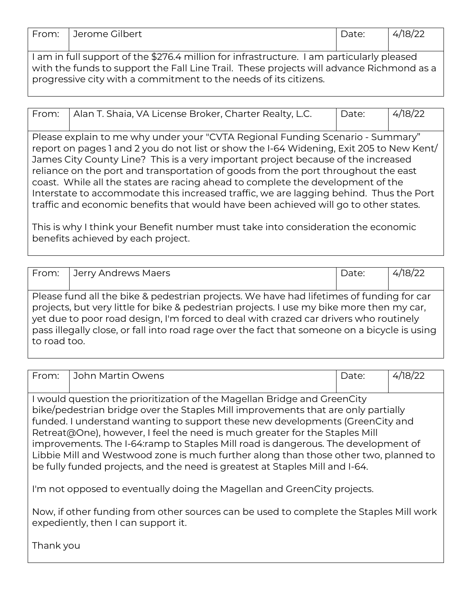| 787.<br>$\sim$<br>$I\cap r$<br>u co.<br>٠.<br>$\sim$<br>ີ<br>. .<br>້ | .<br>From<br>ulhert :<br>$\sim$ me $\sim$ |
|-----------------------------------------------------------------------|-------------------------------------------|
|-----------------------------------------------------------------------|-------------------------------------------|

I am in full support of the \$276.4 million for infrastructure. I am particularly pleased with the funds to support the Fall Line Trail. These projects will advance Richmond as a progressive city with a commitment to the needs of its citizens.

| From: | Alan T. Shaia, VA License Broker, Charter Realty, L.C.                                                 | Date: | 4/18/22 |  |  |
|-------|--------------------------------------------------------------------------------------------------------|-------|---------|--|--|
|       | Please explain to me why under your "CVTA Regional Funding Scenario - Summary"                         |       |         |  |  |
|       | $\mid$ report on pages 1 and 2 you do not list or show the I-64 Widening, Exit 205 to New Kent/ $\mid$ |       |         |  |  |
|       | James City County Line? This is a very important project because of the increased                      |       |         |  |  |

reliance on the port and transportation of goods from the port throughout the east coast. While all the states are racing ahead to complete the development of the Interstate to accommodate this increased traffic, we are lagging behind. Thus the Port traffic and economic benefits that would have been achieved will go to other states.

This is why I think your Benefit number must take into consideration the economic benefits achieved by each project.

|              | From: Jerry Andrews Maers                                                                                                                                                                                                                                                                                                                                                       | Date: | 4/18/22 |
|--------------|---------------------------------------------------------------------------------------------------------------------------------------------------------------------------------------------------------------------------------------------------------------------------------------------------------------------------------------------------------------------------------|-------|---------|
|              |                                                                                                                                                                                                                                                                                                                                                                                 |       |         |
| to road too. | Please fund all the bike & pedestrian projects. We have had lifetimes of funding for car<br>projects, but very little for bike & pedestrian projects. I use my bike more then my car,<br>yet due to poor road design, I'm forced to deal with crazed car drivers who routinely<br>pass illegally close, or fall into road rage over the fact that someone on a bicycle is using |       |         |

| From:                                                                                                                                                                                                                                                                                                                                                                                                                                                                                                                                                                                      | John Martin Owens                                                                                                             | Date: | 4/18/22 |
|--------------------------------------------------------------------------------------------------------------------------------------------------------------------------------------------------------------------------------------------------------------------------------------------------------------------------------------------------------------------------------------------------------------------------------------------------------------------------------------------------------------------------------------------------------------------------------------------|-------------------------------------------------------------------------------------------------------------------------------|-------|---------|
| I would question the prioritization of the Magellan Bridge and GreenCity<br>bike/pedestrian bridge over the Staples Mill improvements that are only partially<br>funded. I understand wanting to support these new developments (GreenCity and<br>Retreat@One), however, I feel the need is much greater for the Staples Mill<br>improvements. The I-64:ramp to Staples Mill road is dangerous. The development of<br>Libbie Mill and Westwood zone is much further along than those other two, planned to<br>be fully funded projects, and the need is greatest at Staples Mill and I-64. |                                                                                                                               |       |         |
|                                                                                                                                                                                                                                                                                                                                                                                                                                                                                                                                                                                            | I'm not opposed to eventually doing the Magellan and GreenCity projects.                                                      |       |         |
|                                                                                                                                                                                                                                                                                                                                                                                                                                                                                                                                                                                            | Now, if other funding from other sources can be used to complete the Staples Mill work<br>expediently, then I can support it. |       |         |
| Thanlessau                                                                                                                                                                                                                                                                                                                                                                                                                                                                                                                                                                                 |                                                                                                                               |       |         |

Thank you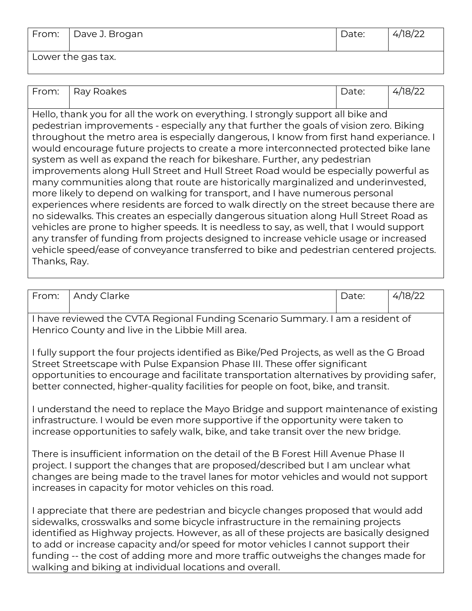| From: | Dave J. Brogan     | Date: | 4/18/22 |
|-------|--------------------|-------|---------|
|       | Lower the gas tax. |       |         |

| 4/18/22<br>Ray Roakes<br>From:<br>Date:<br>Hello, thank you for all the work on everything. I strongly support all bike and<br>pedestrian improvements - especially any that further the goals of vision zero. Biking<br>throughout the metro area is especially dangerous, I know from first hand experiance. I<br>would encourage future projects to create a more interconnected protected bike lane<br>system as well as expand the reach for bikeshare. Further, any pedestrian<br>improvements along Hull Street and Hull Street Road would be especially powerful as<br>many communities along that route are historically marginalized and underinvested,<br>more likely to depend on walking for transport, and I have numerous personal<br>experiences where residents are forced to walk directly on the street because there are<br>no sidewalks. This creates an especially dangerous situation along Hull Street Road as<br>vehicles are prone to higher speeds. It is needless to say, as well, that I would support<br>any transfer of funding from projects designed to increase vehicle usage or increased<br>vehicle speed/ease of conveyance transferred to bike and pedestrian centered projects.<br>Thanks, Ray. |  |  |
|----------------------------------------------------------------------------------------------------------------------------------------------------------------------------------------------------------------------------------------------------------------------------------------------------------------------------------------------------------------------------------------------------------------------------------------------------------------------------------------------------------------------------------------------------------------------------------------------------------------------------------------------------------------------------------------------------------------------------------------------------------------------------------------------------------------------------------------------------------------------------------------------------------------------------------------------------------------------------------------------------------------------------------------------------------------------------------------------------------------------------------------------------------------------------------------------------------------------------------------|--|--|
|                                                                                                                                                                                                                                                                                                                                                                                                                                                                                                                                                                                                                                                                                                                                                                                                                                                                                                                                                                                                                                                                                                                                                                                                                                        |  |  |
|                                                                                                                                                                                                                                                                                                                                                                                                                                                                                                                                                                                                                                                                                                                                                                                                                                                                                                                                                                                                                                                                                                                                                                                                                                        |  |  |
|                                                                                                                                                                                                                                                                                                                                                                                                                                                                                                                                                                                                                                                                                                                                                                                                                                                                                                                                                                                                                                                                                                                                                                                                                                        |  |  |

| From:                                                                                                                                                                                                                                                                                                                                                      | Andy Clarke                                                                                                                                                                                                                                                                                                                                                                                                                                   | Date: | 4/18/22 |  |  |
|------------------------------------------------------------------------------------------------------------------------------------------------------------------------------------------------------------------------------------------------------------------------------------------------------------------------------------------------------------|-----------------------------------------------------------------------------------------------------------------------------------------------------------------------------------------------------------------------------------------------------------------------------------------------------------------------------------------------------------------------------------------------------------------------------------------------|-------|---------|--|--|
|                                                                                                                                                                                                                                                                                                                                                            | I have reviewed the CVTA Regional Funding Scenario Summary. I am a resident of<br>Henrico County and live in the Libbie Mill area.                                                                                                                                                                                                                                                                                                            |       |         |  |  |
| I fully support the four projects identified as Bike/Ped Projects, as well as the G Broad<br>Street Streetscape with Pulse Expansion Phase III. These offer significant<br>opportunities to encourage and facilitate transportation alternatives by providing safer,<br>better connected, higher-quality facilities for people on foot, bike, and transit. |                                                                                                                                                                                                                                                                                                                                                                                                                                               |       |         |  |  |
| I understand the need to replace the Mayo Bridge and support maintenance of existing<br>infrastructure. I would be even more supportive if the opportunity were taken to<br>increase opportunities to safely walk, bike, and take transit over the new bridge.                                                                                             |                                                                                                                                                                                                                                                                                                                                                                                                                                               |       |         |  |  |
| There is insufficient information on the detail of the B Forest Hill Avenue Phase II<br>project. I support the changes that are proposed/described but I am unclear what<br>changes are being made to the travel lanes for motor vehicles and would not support<br>increases in capacity for motor vehicles on this road.                                  |                                                                                                                                                                                                                                                                                                                                                                                                                                               |       |         |  |  |
|                                                                                                                                                                                                                                                                                                                                                            | I appreciate that there are pedestrian and bicycle changes proposed that would add<br>sidewalks, crosswalks and some bicycle infrastructure in the remaining projects<br>identified as Highway projects. However, as all of these projects are basically designed<br>to add or increase capacity and/or speed for motor vehicles I cannot support their<br>funding -- the cost of adding more and more traffic outweighs the changes made for |       |         |  |  |

walking and biking at individual locations and overall.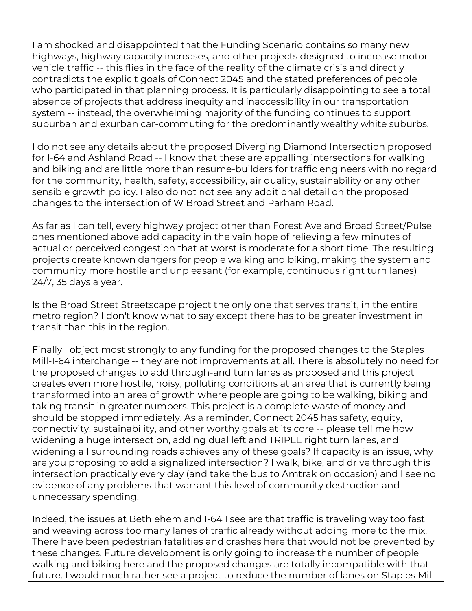I am shocked and disappointed that the Funding Scenario contains so many new highways, highway capacity increases, and other projects designed to increase motor vehicle traffic -- this flies in the face of the reality of the climate crisis and directly contradicts the explicit goals of Connect 2045 and the stated preferences of people who participated in that planning process. It is particularly disappointing to see a total absence of projects that address inequity and inaccessibility in our transportation system -- instead, the overwhelming majority of the funding continues to support suburban and exurban car-commuting for the predominantly wealthy white suburbs.

I do not see any details about the proposed Diverging Diamond Intersection proposed for I-64 and Ashland Road -- I know that these are appalling intersections for walking and biking and are little more than resume-builders for traffic engineers with no regard for the community, health, safety, accessibility, air quality, sustainability or any other sensible growth policy. I also do not not see any additional detail on the proposed changes to the intersection of W Broad Street and Parham Road.

As far as I can tell, every highway project other than Forest Ave and Broad Street/Pulse ones mentioned above add capacity in the vain hope of relieving a few minutes of actual or perceived congestion that at worst is moderate for a short time. The resulting projects create known dangers for people walking and biking, making the system and community more hostile and unpleasant (for example, continuous right turn lanes) 24/7, 35 days a year.

Is the Broad Street Streetscape project the only one that serves transit, in the entire metro region? I don't know what to say except there has to be greater investment in transit than this in the region.

Finally I object most strongly to any funding for the proposed changes to the Staples Mill-I-64 interchange -- they are not improvements at all. There is absolutely no need for the proposed changes to add through-and turn lanes as proposed and this project creates even more hostile, noisy, polluting conditions at an area that is currently being transformed into an area of growth where people are going to be walking, biking and taking transit in greater numbers. This project is a complete waste of money and should be stopped immediately. As a reminder, Connect 2045 has safety, equity, connectivity, sustainability, and other worthy goals at its core -- please tell me how widening a huge intersection, adding dual left and TRIPLE right turn lanes, and widening all surrounding roads achieves any of these goals? If capacity is an issue, why are you proposing to add a signalized intersection? I walk, bike, and drive through this intersection practically every day (and take the bus to Amtrak on occasion) and I see no evidence of any problems that warrant this level of community destruction and unnecessary spending.

Indeed, the issues at Bethlehem and I-64 I see are that traffic is traveling way too fast and weaving across too many lanes of traffic already without adding more to the mix. There have been pedestrian fatalities and crashes here that would not be prevented by these changes. Future development is only going to increase the number of people walking and biking here and the proposed changes are totally incompatible with that future. I would much rather see a project to reduce the number of lanes on Staples Mill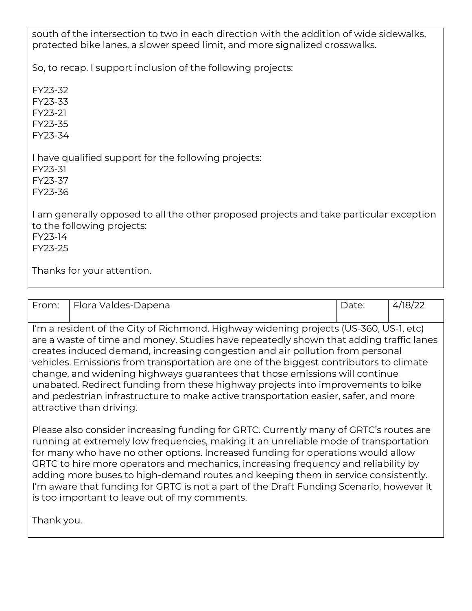south of the intersection to two in each direction with the addition of wide sidewalks, protected bike lanes, a slower speed limit, and more signalized crosswalks.

So, to recap. I support inclusion of the following projects:

FY23-32

FY23-33

FY23-21 FY23-35

FY23-34

I have qualified support for the following projects:

FY23-31

FY23-37

FY23-36

I am generally opposed to all the other proposed projects and take particular exception to the following projects: FY23-14 FY23-25

Thanks for your attention.

| From:     | Flora Valdes-Dapena |   |  | Date: | 4/18/22 |
|-----------|---------------------|---|--|-------|---------|
| $\cdot$ . | .                   | . |  |       |         |

I'm a resident of the City of Richmond. Highway widening projects (US-360, US-1, etc) are a waste of time and money. Studies have repeatedly shown that adding traffic lanes creates induced demand, increasing congestion and air pollution from personal vehicles. Emissions from transportation are one of the biggest contributors to climate change, and widening highways guarantees that those emissions will continue unabated. Redirect funding from these highway projects into improvements to bike and pedestrian infrastructure to make active transportation easier, safer, and more attractive than driving.

Please also consider increasing funding for GRTC. Currently many of GRTC's routes are running at extremely low frequencies, making it an unreliable mode of transportation for many who have no other options. Increased funding for operations would allow GRTC to hire more operators and mechanics, increasing frequency and reliability by adding more buses to high-demand routes and keeping them in service consistently. I'm aware that funding for GRTC is not a part of the Draft Funding Scenario, however it is too important to leave out of my comments.

Thank you.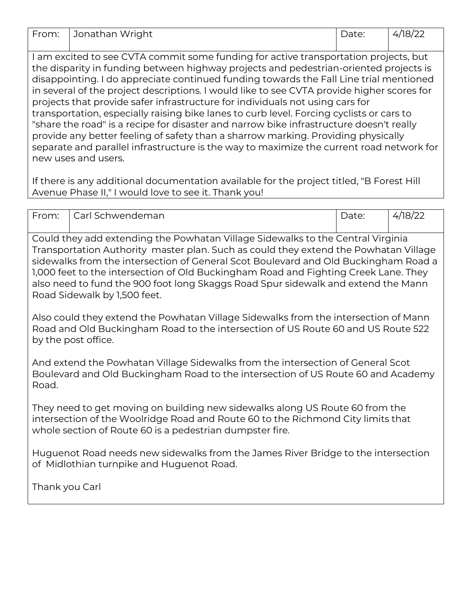| From: Jonathan Wright | Date: | 4/18/22 |
|-----------------------|-------|---------|
|                       |       |         |

I am excited to see CVTA commit some funding for active transportation projects, but the disparity in funding between highway projects and pedestrian-oriented projects is disappointing. I do appreciate continued funding towards the Fall Line trial mentioned in several of the project descriptions. I would like to see CVTA provide higher scores for projects that provide safer infrastructure for individuals not using cars for transportation, especially raising bike lanes to curb level. Forcing cyclists or cars to "share the road" is a recipe for disaster and narrow bike infrastructure doesn't really provide any better feeling of safety than a sharrow marking. Providing physically separate and parallel infrastructure is the way to maximize the current road network for new uses and users.

If there is any additional documentation available for the project titled, "B Forest Hill Avenue Phase II," I would love to see it. Thank you!

| From: | l Carl Schwendeman | Date: | /18/22<br><i>.</i> |
|-------|--------------------|-------|--------------------|
|       |                    |       |                    |

Could they add extending the Powhatan Village Sidewalks to the Central Virginia Transportation Authority master plan. Such as could they extend the Powhatan Village sidewalks from the intersection of General Scot Boulevard and Old Buckingham Road a 1,000 feet to the intersection of Old Buckingham Road and Fighting Creek Lane. They also need to fund the 900 foot long Skaggs Road Spur sidewalk and extend the Mann Road Sidewalk by 1,500 feet.

Also could they extend the Powhatan Village Sidewalks from the intersection of Mann Road and Old Buckingham Road to the intersection of US Route 60 and US Route 522 by the post office.

And extend the Powhatan Village Sidewalks from the intersection of General Scot Boulevard and Old Buckingham Road to the intersection of US Route 60 and Academy Road.

They need to get moving on building new sidewalks along US Route 60 from the intersection of the Woolridge Road and Route 60 to the Richmond City limits that whole section of Route 60 is a pedestrian dumpster fire.

Huguenot Road needs new sidewalks from the James River Bridge to the intersection of Midlothian turnpike and Huguenot Road.

Thank you Carl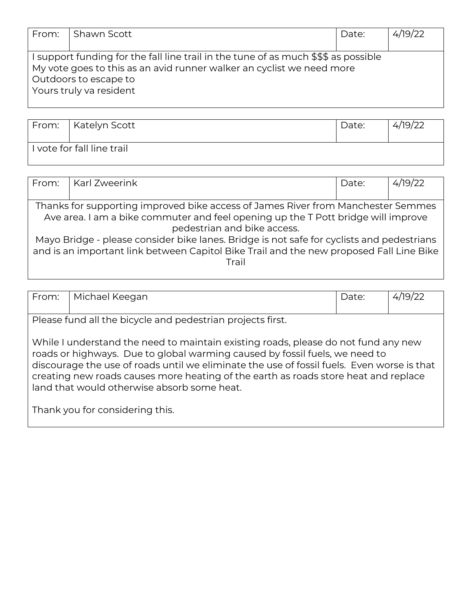| From: | l Shawn Scott                                                                                                                                                                                                    | Date: | 4/19/22 |
|-------|------------------------------------------------------------------------------------------------------------------------------------------------------------------------------------------------------------------|-------|---------|
|       |                                                                                                                                                                                                                  |       |         |
|       | I support funding for the fall line trail in the tune of as much \$\$\$ as possible<br>My vote goes to this as an avid runner walker an cyclist we need more<br>Outdoors to escape to<br>Yours truly va resident |       |         |

| From:   Katelyn Scott      | Date: | 4/19/22 |
|----------------------------|-------|---------|
| I vote for fall line trail |       |         |

| From:                                                                                     | Karl Zweerink                                                                           | Date: | 4/19/22 |  |
|-------------------------------------------------------------------------------------------|-----------------------------------------------------------------------------------------|-------|---------|--|
|                                                                                           |                                                                                         |       |         |  |
|                                                                                           | Thanks for supporting improved bike access of James River from Manchester Semmes        |       |         |  |
|                                                                                           | Ave area. I am a bike commuter and feel opening up the T Pott bridge will improve       |       |         |  |
|                                                                                           | pedestrian and bike access.                                                             |       |         |  |
| Mayo Bridge - please consider bike lanes. Bridge is not safe for cyclists and pedestrians |                                                                                         |       |         |  |
|                                                                                           | and is an important link between Capitol Bike Trail and the new proposed Fall Line Bike |       |         |  |
|                                                                                           | Trail                                                                                   |       |         |  |
|                                                                                           |                                                                                         |       |         |  |

|                                                                                                                                                                                                                                                                                                                                                                                                                                          | Please fund all the bicycle and pedestrian projects first. |  |  |  |  |  |
|------------------------------------------------------------------------------------------------------------------------------------------------------------------------------------------------------------------------------------------------------------------------------------------------------------------------------------------------------------------------------------------------------------------------------------------|------------------------------------------------------------|--|--|--|--|--|
| While I understand the need to maintain existing roads, please do not fund any new<br>roads or highways. Due to global warming caused by fossil fuels, we need to<br>discourage the use of roads until we eliminate the use of fossil fuels. Even worse is that<br>creating new roads causes more heating of the earth as roads store heat and replace<br>land that would otherwise absorb some heat.<br>Thank you for considering this. |                                                            |  |  |  |  |  |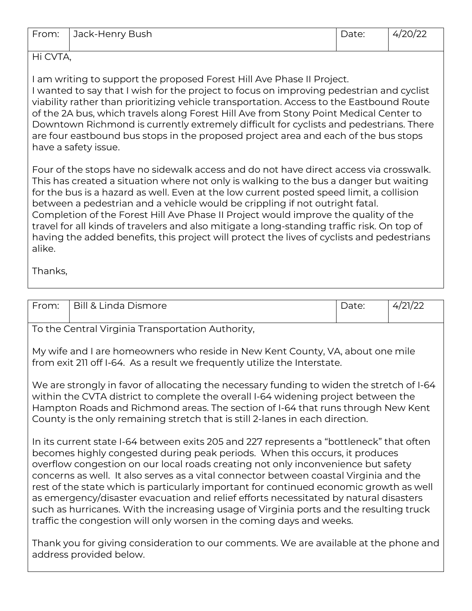| From: Jack-Henry Bush | Date: | 4/20/22 |
|-----------------------|-------|---------|
|                       |       |         |

Hi CVTA,

I am writing to support the proposed Forest Hill Ave Phase II Project. I wanted to say that I wish for the project to focus on improving pedestrian and cyclist viability rather than prioritizing vehicle transportation. Access to the Eastbound Route of the 2A bus, which travels along Forest Hill Ave from Stony Point Medical Center to Downtown Richmond is currently extremely difficult for cyclists and pedestrians. There are four eastbound bus stops in the proposed project area and each of the bus stops have a safety issue.

Four of the stops have no sidewalk access and do not have direct access via crosswalk. This has created a situation where not only is walking to the bus a danger but waiting for the bus is a hazard as well. Even at the low current posted speed limit, a collision between a pedestrian and a vehicle would be crippling if not outright fatal. Completion of the Forest Hill Ave Phase II Project would improve the quality of the travel for all kinds of travelers and also mitigate a long-standing traffic risk. On top of having the added benefits, this project will protect the lives of cyclists and pedestrians alike.

Thanks,

| From:                                                                                                                                                                                                                                                                                                                                                                                                                                                                                                                                                                                                                                                                                                          | <b>Bill &amp; Linda Dismore</b>                                                                                                                                                                                                                                                                                                                      | Date: | 4/21/22 |  |
|----------------------------------------------------------------------------------------------------------------------------------------------------------------------------------------------------------------------------------------------------------------------------------------------------------------------------------------------------------------------------------------------------------------------------------------------------------------------------------------------------------------------------------------------------------------------------------------------------------------------------------------------------------------------------------------------------------------|------------------------------------------------------------------------------------------------------------------------------------------------------------------------------------------------------------------------------------------------------------------------------------------------------------------------------------------------------|-------|---------|--|
|                                                                                                                                                                                                                                                                                                                                                                                                                                                                                                                                                                                                                                                                                                                | To the Central Virginia Transportation Authority,                                                                                                                                                                                                                                                                                                    |       |         |  |
|                                                                                                                                                                                                                                                                                                                                                                                                                                                                                                                                                                                                                                                                                                                | My wife and I are homeowners who reside in New Kent County, VA, about one mile<br>from exit 211 off I-64. As a result we frequently utilize the Interstate.                                                                                                                                                                                          |       |         |  |
|                                                                                                                                                                                                                                                                                                                                                                                                                                                                                                                                                                                                                                                                                                                | We are strongly in favor of allocating the necessary funding to widen the stretch of I-64<br>within the CVTA district to complete the overall I-64 widening project between the<br>Hampton Roads and Richmond areas. The section of I-64 that runs through New Kent<br>County is the only remaining stretch that is still 2-lanes in each direction. |       |         |  |
| In its current state I-64 between exits 205 and 227 represents a "bottleneck" that often<br>becomes highly congested during peak periods. When this occurs, it produces<br>overflow congestion on our local roads creating not only inconvenience but safety<br>concerns as well. It also serves as a vital connector between coastal Virginia and the<br>rest of the state which is particularly important for continued economic growth as well<br>as emergency/disaster evacuation and relief efforts necessitated by natural disasters<br>such as hurricanes. With the increasing usage of Virginia ports and the resulting truck<br>traffic the congestion will only worsen in the coming days and weeks. |                                                                                                                                                                                                                                                                                                                                                      |       |         |  |
|                                                                                                                                                                                                                                                                                                                                                                                                                                                                                                                                                                                                                                                                                                                | Thank you for giving consideration to our comments. We are available at the phone and<br>address provided below.                                                                                                                                                                                                                                     |       |         |  |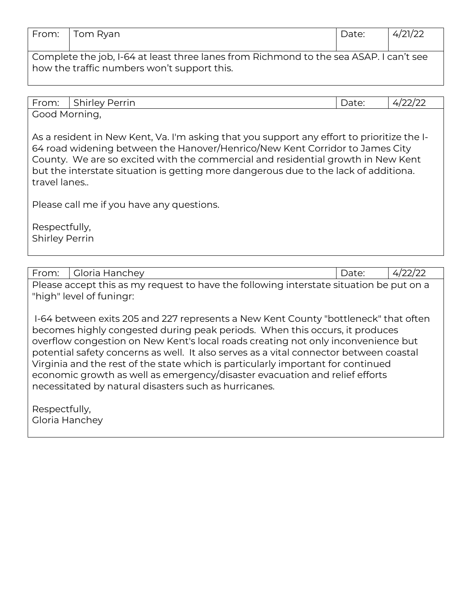| From:                                                                                  | Tom Ryan | Date: | 4/21/22 |  |
|----------------------------------------------------------------------------------------|----------|-------|---------|--|
|                                                                                        |          |       |         |  |
| Complete the job, I-64 at least three lanes from Richmond to the sea ASAP. I can't see |          |       |         |  |
| how the traffic numbers won't support this.                                            |          |       |         |  |

| From:              | $\sim$ $\sim$ $\sim$<br>Perrin<br>shirley' | $\overline{\phantom{a}}$<br>Duct. | --- |  |
|--------------------|--------------------------------------------|-----------------------------------|-----|--|
| Good<br>' Morning, |                                            |                                   |     |  |

As a resident in New Kent, Va. I'm asking that you support any effort to prioritize the I-64 road widening between the Hanover/Henrico/New Kent Corridor to James City County. We are so excited with the commercial and residential growth in New Kent but the interstate situation is getting more dangerous due to the lack of additiona. travel lanes..

Please call me if you have any questions.

Respectfully, Shirley Perrin

| From:                           | Gloria Hanchey                                                                                                                                                                                                                                                                                                                                                                                                                                                                                                                                                                | Date: | 4/22/22 |  |  |
|---------------------------------|-------------------------------------------------------------------------------------------------------------------------------------------------------------------------------------------------------------------------------------------------------------------------------------------------------------------------------------------------------------------------------------------------------------------------------------------------------------------------------------------------------------------------------------------------------------------------------|-------|---------|--|--|
|                                 | Please accept this as my request to have the following interstate situation be put on a<br>"high" level of funingr:                                                                                                                                                                                                                                                                                                                                                                                                                                                           |       |         |  |  |
|                                 | I-64 between exits 205 and 227 represents a New Kent County "bottleneck" that often<br>becomes highly congested during peak periods. When this occurs, it produces<br>overflow congestion on New Kent's local roads creating not only inconvenience but<br>potential safety concerns as well. It also serves as a vital connector between coastal<br>Virginia and the rest of the state which is particularly important for continued<br>economic growth as well as emergency/disaster evacuation and relief efforts<br>necessitated by natural disasters such as hurricanes. |       |         |  |  |
| Respectfully,<br>Gloria Hanchey |                                                                                                                                                                                                                                                                                                                                                                                                                                                                                                                                                                               |       |         |  |  |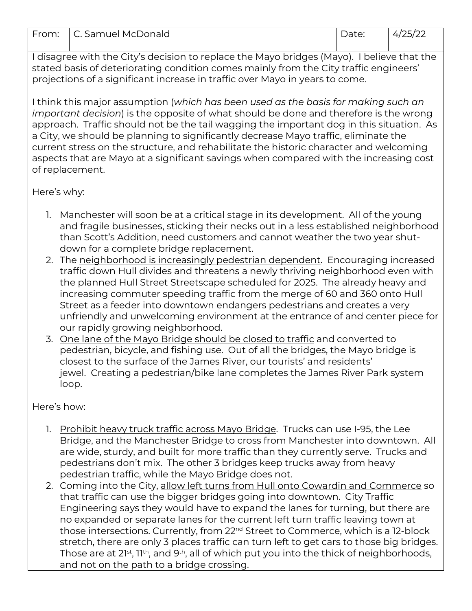| $\overline{\phantom{0}}$<br>$\mathsf{H}$<br>H. | . Samuel McF<br>Donald | $  -$<br>u co<br>_ _ _ _ _ | ,, |
|------------------------------------------------|------------------------|----------------------------|----|

I disagree with the City's decision to replace the Mayo bridges (Mayo). I believe that the stated basis of deteriorating condition comes mainly from the City traffic engineers' projections of a significant increase in traffic over Mayo in years to come.

I think this major assumption (*which has been used as the basis for making such an important decision*) is the opposite of what should be done and therefore is the wrong approach. Traffic should not be the tail wagging the important dog in this situation. As a City, we should be planning to significantly decrease Mayo traffic, eliminate the current stress on the structure, and rehabilitate the historic character and welcoming aspects that are Mayo at a significant savings when compared with the increasing cost of replacement.

Here's why:

- 1. Manchester will soon be at a critical stage in its development. All of the young and fragile businesses, sticking their necks out in a less established neighborhood than Scott's Addition, need customers and cannot weather the two year shutdown for a complete bridge replacement.
- 2. The neighborhood is increasingly pedestrian dependent. Encouraging increased traffic down Hull divides and threatens a newly thriving neighborhood even with the planned Hull Street Streetscape scheduled for 2025. The already heavy and increasing commuter speeding traffic from the merge of 60 and 360 onto Hull Street as a feeder into downtown endangers pedestrians and creates a very unfriendly and unwelcoming environment at the entrance of and center piece for our rapidly growing neighborhood.
- 3. One lane of the Mayo Bridge should be closed to traffic and converted to pedestrian, bicycle, and fishing use. Out of all the bridges, the Mayo bridge is closest to the surface of the James River, our tourists' and residents' jewel. Creating a pedestrian/bike lane completes the James River Park system loop.

Here's how:

- 1. Prohibit heavy truck traffic across Mayo Bridge. Trucks can use I-95, the Lee Bridge, and the Manchester Bridge to cross from Manchester into downtown. All are wide, sturdy, and built for more traffic than they currently serve. Trucks and pedestrians don't mix. The other 3 bridges keep trucks away from heavy pedestrian traffic, while the Mayo Bridge does not.
- 2. Coming into the City, allow left turns from Hull onto Cowardin and Commerce so that traffic can use the bigger bridges going into downtown. City Traffic Engineering says they would have to expand the lanes for turning, but there are no expanded or separate lanes for the current left turn traffic leaving town at those intersections. Currently, from 22nd Street to Commerce, which is a 12-block stretch, there are only 3 places traffic can turn left to get cars to those big bridges. Those are at 21<sup>st</sup>, 11<sup>th</sup>, and 9<sup>th</sup>, all of which put you into the thick of neighborhoods, and not on the path to a bridge crossing.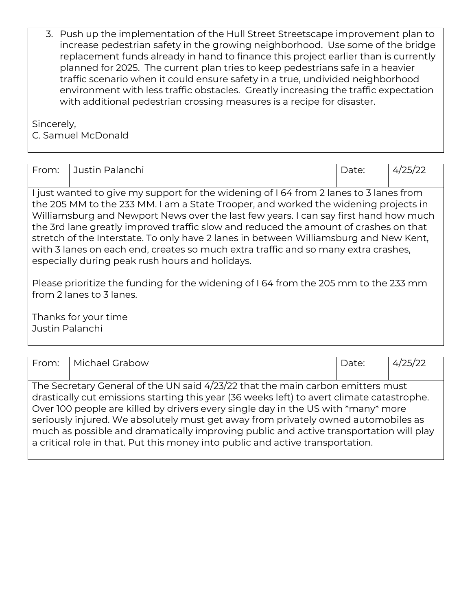| 3. Push up the implementation of the Hull Street Streetscape improvement plan to    |
|-------------------------------------------------------------------------------------|
| increase pedestrian safety in the growing neighborhood. Use some of the bridge      |
| replacement funds already in hand to finance this project earlier than is currently |
| planned for 2025. The current plan tries to keep pedestrians safe in a heavier      |
| traffic scenario when it could ensure safety in a true, undivided neighborhood      |
| environment with less traffic obstacles. Greatly increasing the traffic expectation |
| with additional pedestrian crossing measures is a recipe for disaster.              |

Sincerely,

C. Samuel McDonald

| From:                                                                                                                                                                                                                                                                                                                                                                                                                                                                                                                                                                                          | Justin Palanchi                         | Date: | 4/25/22 |  |  |
|------------------------------------------------------------------------------------------------------------------------------------------------------------------------------------------------------------------------------------------------------------------------------------------------------------------------------------------------------------------------------------------------------------------------------------------------------------------------------------------------------------------------------------------------------------------------------------------------|-----------------------------------------|-------|---------|--|--|
| I just wanted to give my support for the widening of 164 from 2 lanes to 3 lanes from<br>the 205 MM to the 233 MM. I am a State Trooper, and worked the widening projects in<br>Williamsburg and Newport News over the last few years. I can say first hand how much<br>the 3rd lane greatly improved traffic slow and reduced the amount of crashes on that<br>stretch of the Interstate. To only have 2 lanes in between Williamsburg and New Kent,<br>with 3 lanes on each end, creates so much extra traffic and so many extra crashes,<br>especially during peak rush hours and holidays. |                                         |       |         |  |  |
| Please prioritize the funding for the widening of 164 from the 205 mm to the 233 mm<br>from 2 lanes to 3 lanes.                                                                                                                                                                                                                                                                                                                                                                                                                                                                                |                                         |       |         |  |  |
|                                                                                                                                                                                                                                                                                                                                                                                                                                                                                                                                                                                                | Thanks for your time<br>Justin Palanchi |       |         |  |  |

| From: | Michael Grabow                                                                                                                                                                                                                                                                                                                                                                                                                                                                                                                       | Date: | 4/25/22 |
|-------|--------------------------------------------------------------------------------------------------------------------------------------------------------------------------------------------------------------------------------------------------------------------------------------------------------------------------------------------------------------------------------------------------------------------------------------------------------------------------------------------------------------------------------------|-------|---------|
|       |                                                                                                                                                                                                                                                                                                                                                                                                                                                                                                                                      |       |         |
|       | The Secretary General of the UN said 4/23/22 that the main carbon emitters must<br>drastically cut emissions starting this year (36 weeks left) to avert climate catastrophe.<br>Over 100 people are killed by drivers every single day in the US with *many* more<br>seriously injured. We absolutely must get away from privately owned automobiles as<br>much as possible and dramatically improving public and active transportation will play<br>a critical role in that. Put this money into public and active transportation. |       |         |
|       |                                                                                                                                                                                                                                                                                                                                                                                                                                                                                                                                      |       |         |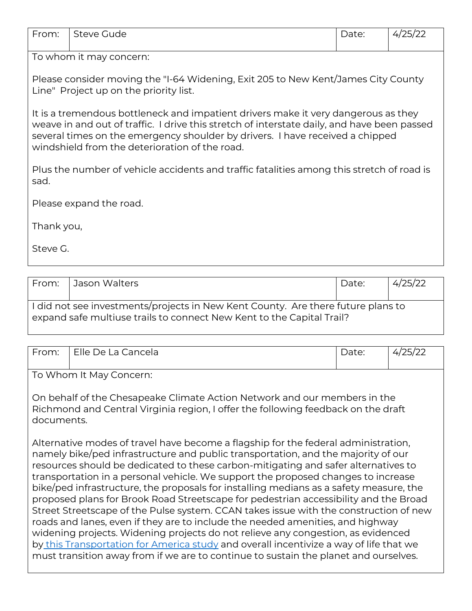| From:                                                                                                                                                                                                                                                                                                                | Steve Gude                                                                                                                  | Date: | 4/25/22 |  |  |
|----------------------------------------------------------------------------------------------------------------------------------------------------------------------------------------------------------------------------------------------------------------------------------------------------------------------|-----------------------------------------------------------------------------------------------------------------------------|-------|---------|--|--|
|                                                                                                                                                                                                                                                                                                                      | To whom it may concern:                                                                                                     |       |         |  |  |
|                                                                                                                                                                                                                                                                                                                      | Please consider moving the "I-64 Widening, Exit 205 to New Kent/James City County<br>Line" Project up on the priority list. |       |         |  |  |
| It is a tremendous bottleneck and impatient drivers make it very dangerous as they<br>weave in and out of traffic. I drive this stretch of interstate daily, and have been passed<br>several times on the emergency shoulder by drivers. I have received a chipped<br>windshield from the deterioration of the road. |                                                                                                                             |       |         |  |  |
| Plus the number of vehicle accidents and traffic fatalities among this stretch of road is<br>sad.                                                                                                                                                                                                                    |                                                                                                                             |       |         |  |  |
|                                                                                                                                                                                                                                                                                                                      | Please expand the road.                                                                                                     |       |         |  |  |
| Thank you,                                                                                                                                                                                                                                                                                                           |                                                                                                                             |       |         |  |  |
| Steve G.                                                                                                                                                                                                                                                                                                             |                                                                                                                             |       |         |  |  |

| l From: | Jason Walters                                                                                                                                               | Date: | 4/25/22 |  |  |
|---------|-------------------------------------------------------------------------------------------------------------------------------------------------------------|-------|---------|--|--|
|         | I I did not see investments/projects in New Kent County. Are there future plans to<br>expand safe multiuse trails to connect New Kent to the Capital Trail? |       |         |  |  |

| From:                                                                                                                                                                        | Elle De La Cancela                                                                                                                                                                                                                                                                                                                                                                                                                                                                                                                                                                                                                                                                                                                                                                                                                                                                                                                                                                    | Date: |  |  |
|------------------------------------------------------------------------------------------------------------------------------------------------------------------------------|---------------------------------------------------------------------------------------------------------------------------------------------------------------------------------------------------------------------------------------------------------------------------------------------------------------------------------------------------------------------------------------------------------------------------------------------------------------------------------------------------------------------------------------------------------------------------------------------------------------------------------------------------------------------------------------------------------------------------------------------------------------------------------------------------------------------------------------------------------------------------------------------------------------------------------------------------------------------------------------|-------|--|--|
|                                                                                                                                                                              | To Whom It May Concern:                                                                                                                                                                                                                                                                                                                                                                                                                                                                                                                                                                                                                                                                                                                                                                                                                                                                                                                                                               |       |  |  |
| On behalf of the Chesapeake Climate Action Network and our members in the<br>Richmond and Central Virginia region, I offer the following feedback on the draft<br>documents. |                                                                                                                                                                                                                                                                                                                                                                                                                                                                                                                                                                                                                                                                                                                                                                                                                                                                                                                                                                                       |       |  |  |
|                                                                                                                                                                              | Alternative modes of travel have become a flagship for the federal administration,<br>namely bike/ped infrastructure and public transportation, and the majority of our<br>resources should be dedicated to these carbon-mitigating and safer alternatives to<br>transportation in a personal vehicle. We support the proposed changes to increase<br>bike/ped infrastructure, the proposals for installing medians as a safety measure, the<br>proposed plans for Brook Road Streetscape for pedestrian accessibility and the Broad<br>Street Streetscape of the Pulse system. CCAN takes issue with the construction of new<br>roads and lanes, even if they are to include the needed amenities, and highway<br>widening projects. Widening projects do not relieve any congestion, as evidenced<br>by this Transportation for America study and overall incentivize a way of life that we<br>must transition away from if we are to continue to sustain the planet and ourselves. |       |  |  |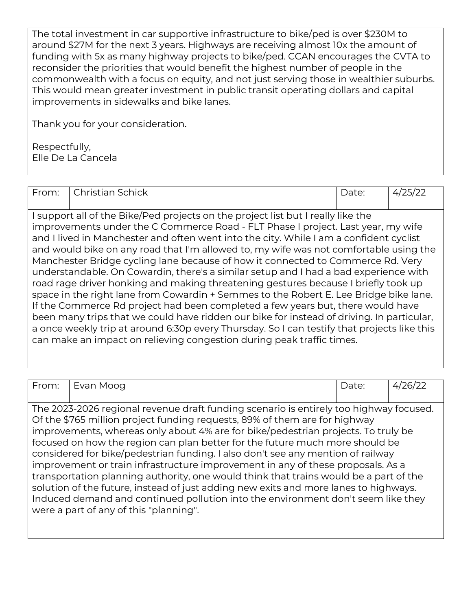The total investment in car supportive infrastructure to bike/ped is over \$230M to around \$27M for the next 3 years. Highways are receiving almost 10x the amount of funding with 5x as many highway projects to bike/ped. CCAN encourages the CVTA to reconsider the priorities that would benefit the highest number of people in the commonwealth with a focus on equity, and not just serving those in wealthier suburbs. This would mean greater investment in public transit operating dollars and capital improvements in sidewalks and bike lanes.

Thank you for your consideration.

Respectfully, Elle De La Cancela

| From: | Christian Schick                                                                                                                                                                                                                                                                                                                                                                                                                                                                                                                                                                                                                                                                                                                                                                                                                                                                                                                                                                                                                                                          | Date: |  |
|-------|---------------------------------------------------------------------------------------------------------------------------------------------------------------------------------------------------------------------------------------------------------------------------------------------------------------------------------------------------------------------------------------------------------------------------------------------------------------------------------------------------------------------------------------------------------------------------------------------------------------------------------------------------------------------------------------------------------------------------------------------------------------------------------------------------------------------------------------------------------------------------------------------------------------------------------------------------------------------------------------------------------------------------------------------------------------------------|-------|--|
|       | I support all of the Bike/Ped projects on the project list but I really like the<br>improvements under the C Commerce Road - FLT Phase I project. Last year, my wife<br>and I lived in Manchester and often went into the city. While I am a confident cyclist<br>and would bike on any road that I'm allowed to, my wife was not comfortable using the<br>Manchester Bridge cycling lane because of how it connected to Commerce Rd. Very<br>understandable. On Cowardin, there's a similar setup and I had a bad experience with<br>road rage driver honking and making threatening gestures because I briefly took up<br>space in the right lane from Cowardin + Semmes to the Robert E. Lee Bridge bike lane.<br>If the Commerce Rd project had been completed a few years but, there would have<br>been many trips that we could have ridden our bike for instead of driving. In particular,<br>a once weekly trip at around 6:30p every Thursday. So I can testify that projects like this<br>can make an impact on relieving congestion during peak traffic times. |       |  |

| From:                                                                                 | Evan Moog                                                                              | Date: | 4/26/22 |  |
|---------------------------------------------------------------------------------------|----------------------------------------------------------------------------------------|-------|---------|--|
|                                                                                       |                                                                                        |       |         |  |
|                                                                                       |                                                                                        |       |         |  |
|                                                                                       | The 2023-2026 regional revenue draft funding scenario is entirely too highway focused. |       |         |  |
|                                                                                       | Of the \$765 million project funding requests, 89% of them are for highway             |       |         |  |
|                                                                                       | improvements, whereas only about 4% are for bike/pedestrian projects. To truly be      |       |         |  |
|                                                                                       | focused on how the region can plan better for the future much more should be           |       |         |  |
| considered for bike/pedestrian funding. I also don't see any mention of railway       |                                                                                        |       |         |  |
| improvement or train infrastructure improvement in any of these proposals. As a       |                                                                                        |       |         |  |
| transportation planning authority, one would think that trains would be a part of the |                                                                                        |       |         |  |
| solution of the future, instead of just adding new exits and more lanes to highways.  |                                                                                        |       |         |  |
|                                                                                       | Induced demand and continued pollution into the environment don't seem like they       |       |         |  |
|                                                                                       | were a part of any of this "planning".                                                 |       |         |  |
|                                                                                       |                                                                                        |       |         |  |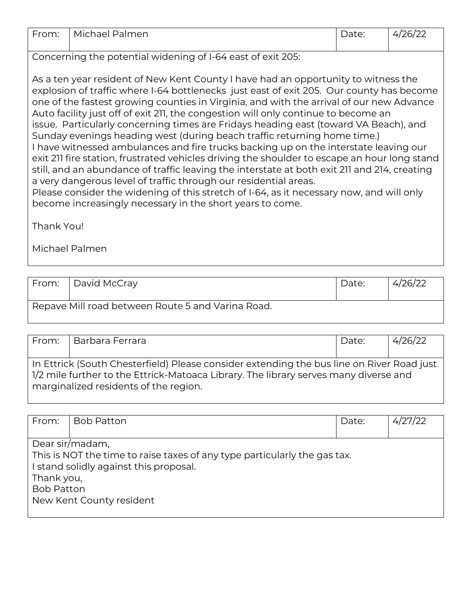| From: | Michael<br>Palmen | a le. | $\sim$<br>"<br>احالا |
|-------|-------------------|-------|----------------------|
|       |                   |       |                      |

Concerning the potential widening of I-64 east of exit 205:

become increasingly necessary in the short years to come.

As a ten year resident of New Kent County I have had an opportunity to witness the explosion of traffic where I-64 bottlenecks just east of exit 205. Our county has become one of the fastest growing counties in Virginia, and with the arrival of our new Advance Auto facility just off of exit 211, the congestion will only continue to become an issue. Particularly concerning times are Fridays heading east (toward VA Beach), and Sunday evenings heading west (during beach traffic returning home time.) I have witnessed ambulances and fire trucks backing up on the interstate leaving our exit 211 fire station, frustrated vehicles driving the shoulder to escape an hour long stand still, and an abundance of traffic leaving the interstate at both exit 211 and 214, creating a very dangerous level of traffic through our residential areas. Please consider the widening of this stretch of I-64, as it necessary now, and will only

Thank You!

Michael Palmen

| From: I | David McCray                                      | Date: | 4/26/22 |  |  |
|---------|---------------------------------------------------|-------|---------|--|--|
|         | Repave Mill road between Route 5 and Varina Road. |       |         |  |  |

| From:                                                                                                                                                                             | l Barbara Ferrara                     | Date: | 4/26/22 |  |
|-----------------------------------------------------------------------------------------------------------------------------------------------------------------------------------|---------------------------------------|-------|---------|--|
|                                                                                                                                                                                   |                                       |       |         |  |
| In Ettrick (South Chesterfield) Please consider extending the bus line on River Road just<br>1/2 mile further to the Ettrick-Matoaca Library. The library serves many diverse and |                                       |       |         |  |
|                                                                                                                                                                                   | marginalized residents of the region. |       |         |  |

| From:                           | <b>Bob Patton</b>                                                                                                                                                  | Date: | 4/27/22 |
|---------------------------------|--------------------------------------------------------------------------------------------------------------------------------------------------------------------|-------|---------|
| Thank you,<br><b>Bob Patton</b> | Dear sir/madam,<br>This is NOT the time to raise taxes of any type particularly the gas tax.<br>I stand solidly against this proposal.<br>New Kent County resident |       |         |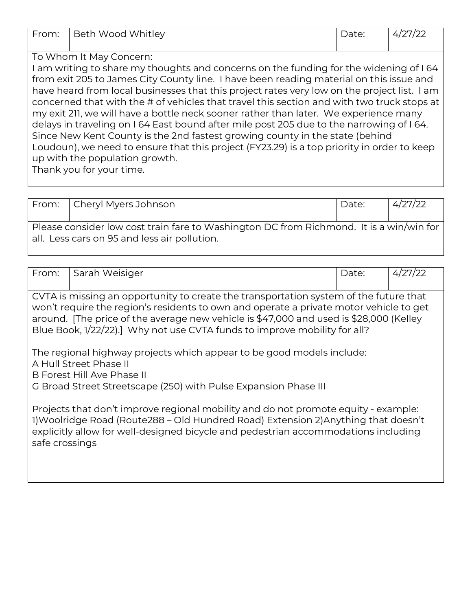| .     | .                 |       |                                       |
|-------|-------------------|-------|---------------------------------------|
| From: | Beth Wood Whitley | Date: | $\sqrt{2}$<br>4/z<br>$^{\prime}$ //24 |

## To Whom It May Concern:

I am writing to share my thoughts and concerns on the funding for the widening of I 64 from exit 205 to James City County line. I have been reading material on this issue and have heard from local businesses that this project rates very low on the project list. I am concerned that with the # of vehicles that travel this section and with two truck stops at my exit 211, we will have a bottle neck sooner rather than later. We experience many delays in traveling on I 64 East bound after mile post 205 due to the narrowing of I 64. Since New Kent County is the 2nd fastest growing county in the state (behind Loudoun), we need to ensure that this project (FY23.29) is a top priority in order to keep up with the population growth.

Thank you for your time.

| From:   Cheryl Myers Johnson                                                                                                            | Date: | 4/27/22 |
|-----------------------------------------------------------------------------------------------------------------------------------------|-------|---------|
|                                                                                                                                         |       |         |
| Please consider low cost train fare to Washington DC from Richmond. It is a win/win for<br>all. Less cars on 95 and less air pollution. |       |         |

| From:                                                                                                                                                                                                                                                                                                                                                  | Sarah Weisiger | Date: | 4/27/22 |  |
|--------------------------------------------------------------------------------------------------------------------------------------------------------------------------------------------------------------------------------------------------------------------------------------------------------------------------------------------------------|----------------|-------|---------|--|
| CVTA is missing an opportunity to create the transportation system of the future that<br>won't require the region's residents to own and operate a private motor vehicle to get<br>around. [The price of the average new vehicle is \$47,000 and used is \$28,000 (Kelley<br>Blue Book, 1/22/22).] Why not use CVTA funds to improve mobility for all? |                |       |         |  |
| The regional highway projects which appear to be good models include:<br>A Hull Street Phase II<br>B Forest Hill Ave Phase II<br>G Broad Street Streetscape (250) with Pulse Expansion Phase III                                                                                                                                                       |                |       |         |  |
| Projects that don't improve regional mobility and do not promote equity - example:<br>1) Woolridge Road (Route288 – Old Hundred Road) Extension 2) Anything that doesn't<br>explicitly allow for well-designed bicycle and pedestrian accommodations including<br>safe crossings                                                                       |                |       |         |  |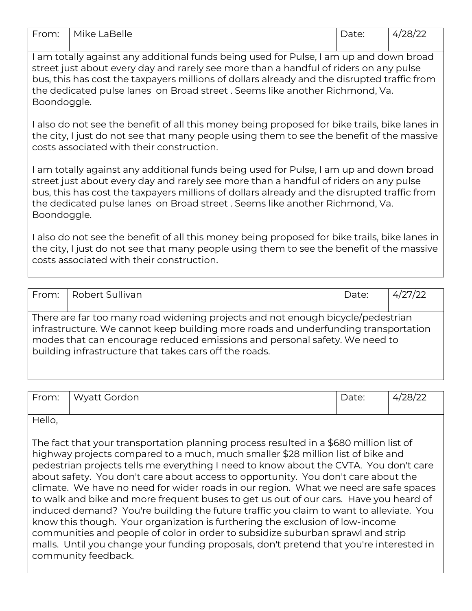| From:                                                                                       | Mike LaBelle | Date: | 4/28/22 |  |
|---------------------------------------------------------------------------------------------|--------------|-------|---------|--|
|                                                                                             |              |       |         |  |
| I am totally against any additional funds being used for Pulse, I am up and down broad      |              |       |         |  |
| street just about every day and rarely see more than a handful of riders on any pulse       |              |       |         |  |
| bus, this has cost the taxpayers millions of dollars already and the disrupted traffic from |              |       |         |  |

the dedicated pulse lanes on Broad street . Seems like another Richmond, Va.

I also do not see the benefit of all this money being proposed for bike trails, bike lanes in the city, I just do not see that many people using them to see the benefit of the massive costs associated with their construction.

I am totally against any additional funds being used for Pulse, I am up and down broad street just about every day and rarely see more than a handful of riders on any pulse bus, this has cost the taxpayers millions of dollars already and the disrupted traffic from the dedicated pulse lanes on Broad street . Seems like another Richmond, Va. Boondoggle.

I also do not see the benefit of all this money being proposed for bike trails, bike lanes in the city, I just do not see that many people using them to see the benefit of the massive costs associated with their construction.

| From: TRobert Sullivan                                                                                                                                                                                                                                                                                        | Date: | 4/27/22 |
|---------------------------------------------------------------------------------------------------------------------------------------------------------------------------------------------------------------------------------------------------------------------------------------------------------------|-------|---------|
| There are far too many road widening projects and not enough bicycle/pedestrian<br>infrastructure. We cannot keep building more roads and underfunding transportation<br>modes that can encourage reduced emissions and personal safety. We need to<br>building infrastructure that takes cars off the roads. |       |         |

| From: | iordon<br>Wvatt (<br>. . | UV. | האר״.<br>$\overline{ }$<br>$-$ |
|-------|--------------------------|-----|--------------------------------|
|-------|--------------------------|-----|--------------------------------|

Hello,

Boondoggle.

The fact that your transportation planning process resulted in a \$680 million list of highway projects compared to a much, much smaller \$28 million list of bike and pedestrian projects tells me everything I need to know about the CVTA. You don't care about safety. You don't care about access to opportunity. You don't care about the climate. We have no need for wider roads in our region. What we need are safe spaces to walk and bike and more frequent buses to get us out of our cars. Have you heard of induced demand? You're building the future traffic you claim to want to alleviate. You know this though. Your organization is furthering the exclusion of low-income communities and people of color in order to subsidize suburban sprawl and strip malls. Until you change your funding proposals, don't pretend that you're interested in community feedback.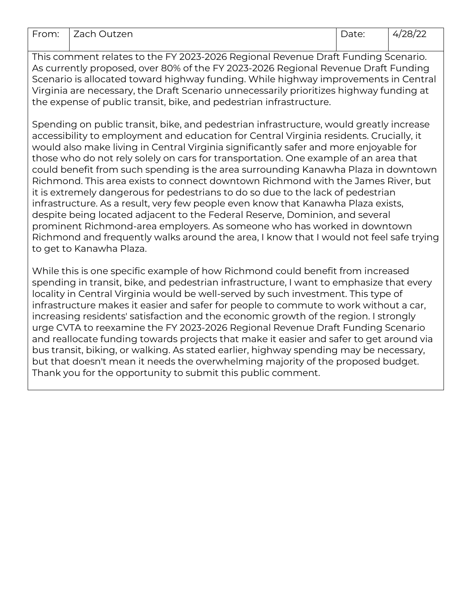| From: | Zach Outzen | Date: | 4/28/22 |
|-------|-------------|-------|---------|
|       |             |       |         |

This comment relates to the FY 2023-2026 Regional Revenue Draft Funding Scenario. As currently proposed, over 80% of the FY 2023-2026 Regional Revenue Draft Funding Scenario is allocated toward highway funding. While highway improvements in Central Virginia are necessary, the Draft Scenario unnecessarily prioritizes highway funding at the expense of public transit, bike, and pedestrian infrastructure.

Spending on public transit, bike, and pedestrian infrastructure, would greatly increase accessibility to employment and education for Central Virginia residents. Crucially, it would also make living in Central Virginia significantly safer and more enjoyable for those who do not rely solely on cars for transportation. One example of an area that could benefit from such spending is the area surrounding Kanawha Plaza in downtown Richmond. This area exists to connect downtown Richmond with the James River, but it is extremely dangerous for pedestrians to do so due to the lack of pedestrian infrastructure. As a result, very few people even know that Kanawha Plaza exists, despite being located adjacent to the Federal Reserve, Dominion, and several prominent Richmond-area employers. As someone who has worked in downtown Richmond and frequently walks around the area, I know that I would not feel safe trying to get to Kanawha Plaza.

While this is one specific example of how Richmond could benefit from increased spending in transit, bike, and pedestrian infrastructure, I want to emphasize that every locality in Central Virginia would be well-served by such investment. This type of infrastructure makes it easier and safer for people to commute to work without a car, increasing residents' satisfaction and the economic growth of the region. I strongly urge CVTA to reexamine the FY 2023-2026 Regional Revenue Draft Funding Scenario and reallocate funding towards projects that make it easier and safer to get around via bus transit, biking, or walking. As stated earlier, highway spending may be necessary, but that doesn't mean it needs the overwhelming majority of the proposed budget. Thank you for the opportunity to submit this public comment.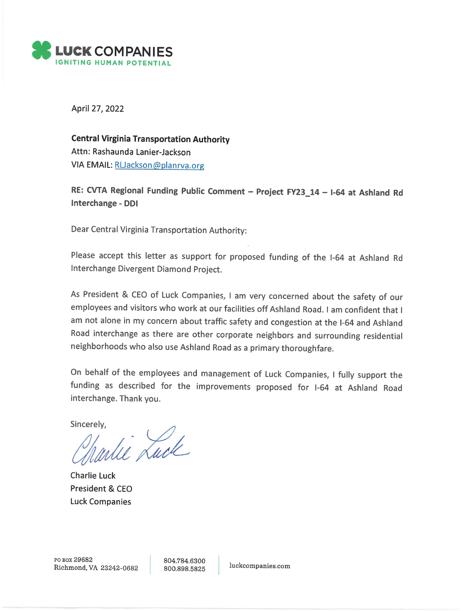

April 27, 2022

**Central Virginia Transportation Authority** Attn: Rashaunda Lanier-Jackson VIA EMAIL: RUackson@planrya.org

RE: CVTA Regional Funding Public Comment - Project FY23\_14 - I-64 at Ashland Rd Interchange - DDI

Dear Central Virginia Transportation Authority:

Please accept this letter as support for proposed funding of the I-64 at Ashland Rd Interchange Divergent Diamond Project.

As President & CEO of Luck Companies, I am very concerned about the safety of our employees and visitors who work at our facilities off Ashland Road. I am confident that I am not alone in my concern about traffic safety and congestion at the I-64 and Ashland Road interchange as there are other corporate neighbors and surrounding residential neighborhoods who also use Ashland Road as a primary thoroughfare.

On behalf of the employees and management of Luck Companies, I fully support the funding as described for the improvements proposed for I-64 at Ashland Road interchange. Thank you.

Sincerely,

whie Luck

**Charlie Luck** President & CEO **Luck Companies** 

804.784.6300 800.898.5825

luckcompanies.com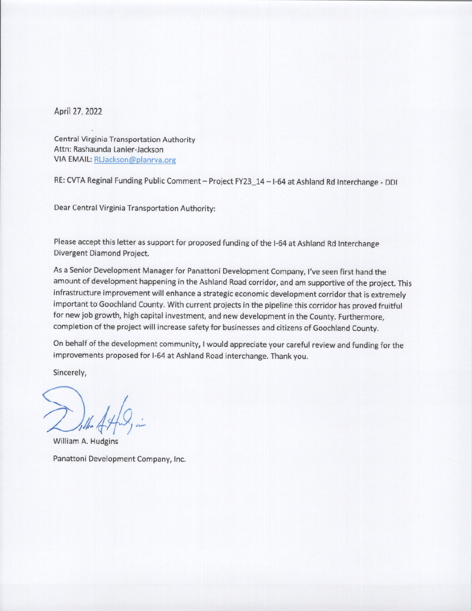April 27, 2022

**Central Virginia Transportation Authority** Attn: Rashaunda Lanier-Jackson VIA EMAIL: RUackson@planrva.org

RE: CVTA Reginal Funding Public Comment - Project FY23\_14 - I-64 at Ashland Rd Interchange - DDI

Dear Central Virginia Transportation Authority:

Please accept this letter as support for proposed funding of the I-64 at Ashland Rd Interchange Divergent Diamond Project.

As a Senior Development Manager for Panattoni Development Company, I've seen first hand the amount of development happening in the Ashland Road corridor, and am supportive of the project. This infrastructure improvement will enhance a strategic economic development corridor that is extremely important to Goochland County. With current projects in the pipeline this corridor has proved fruitful for new job growth, high capital investment, and new development in the County. Furthermore, completion of the project will increase safety for businesses and citizens of Goochland County.

On behalf of the development community, I would appreciate your careful review and funding for the improvements proposed for I-64 at Ashland Road interchange. Thank you.

Sincerely,

William A. Hudgins

Panattoni Development Company, Inc.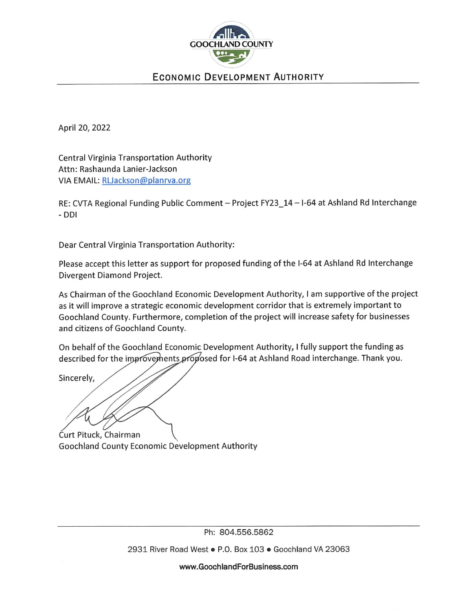

## **ECONOMIC DEVELOPMENT AUTHORITY**

April 20, 2022

**Central Virginia Transportation Authority** Attn: Rashaunda Lanier-Jackson VIA EMAIL: RLJackson@planrva.org

RE: CVTA Regional Funding Public Comment - Project FY23\_14 - I-64 at Ashland Rd Interchange - DDI

Dear Central Virginia Transportation Authority:

Please accept this letter as support for proposed funding of the I-64 at Ashland Rd Interchange Divergent Diamond Project.

As Chairman of the Goochland Economic Development Authority, I am supportive of the project as it will improve a strategic economic development corridor that is extremely important to Goochland County. Furthermore, completion of the project will increase safety for businesses and citizens of Goochland County.

On behalf of the Goochland Economic Development Authority, I fully support the funding as described for the improvements proposed for I-64 at Ashland Road interchange. Thank you.

Sincerely,

Curt Pituck, Chairman

Goochland County Economic Development Authority

Ph: 804.556.5862

2931 River Road West · P.O. Box 103 · Goochland VA 23063

www.GoochlandForBusiness.com